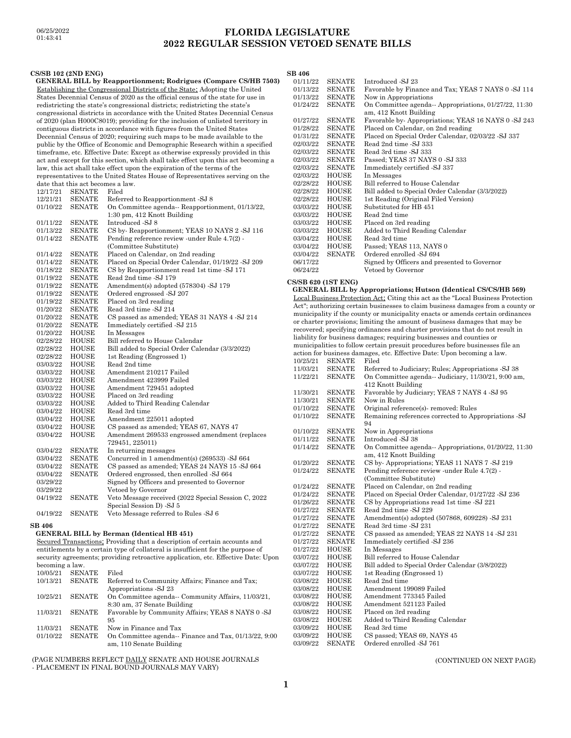# 06/25/2022 **FLORIDA LEGISLATURE 2022 REGULAR SESSION VETOED SENATE BILLS**

### **CS/SB 102 (2ND ENG)**

**GENERAL BILL by Reapportionment; Rodrigues (Compare CS/HB 7503)** Establishing the Congressional Districts of the State; Adopting the United States Decennial Census of 2020 as the official census of the state for use in redistricting the state's congressional districts; redistricting the state's congressional districts in accordance with the United States Decennial Census of 2020 (plan H000C8019); providing for the inclusion of unlisted territory in contiguous districts in accordance with figures from the United States Decennial Census of 2020; requiring such maps to be made available to the public by the Office of Economic and Demographic Research within a specified timeframe, etc. Effective Date: Except as otherwise expressly provided in this act and except for this section, which shall take effect upon this act becoming a law, this act shall take effect upon the expiration of the terms of the representatives to the United States House of Representatives serving on the date that this act becomes a law.<br>12/17/21 SENATE Filed  $\begin{array}{cl} 12/17/21 & \text{SENATE} \\ 12/21/21 & \text{SENATE} \end{array}$ 12/21/21 SENATE Referred to Reapportionment -SJ 8<br>01/10/22 SENATE On Committee agenda-- Reapportio SENATE On Committee agenda-- Reapportionment, 01/13/22, 1:30 pm, 412 Knott Building 01/11/22 SENATE Introduced -SJ 8<br>01/13/22 SENATE CS by Reapporti CS by- Reapportionment; YEAS 10 NAYS 2 -SJ 116 01/14/22 SENATE Pending reference review -under Rule 4.7(2) - (Committee Substitute) 01/14/22 SENATE Placed on Calendar, on 2nd reading<br>01/14/22 SENATE Placed on Special Order Calendar C 01/14/22 SENATE Placed on Special Order Calendar, 01/19/22 -SJ 209<br>01/18/22 SENATE CS by Reapportionment read 1st time -SJ 171 SENATE CS by Reapportionment read 1st time -SJ 171<br>SENATE Read 2nd time -SJ 179 01/19/22 SENATE Read 2nd time -SJ 179<br>01/19/22 SENATE Amendment(s) adopted 01/19/22 SENATE Amendment(s) adopted (578304) -SJ 179<br>01/19/22 SENATE Ordered engrossed -SJ 207 01/19/22 SENATE Ordered engrossed -SJ 207<br>01/19/22 SENATE Placed on 3rd reading SENATE Placed on 3rd reading 01/20/22 SENATE Read 3rd time -SJ 214<br>01/20/22 SENATE CS passed as amended 01/20/22 SENATE CS passed as amended; YEAS 31 NAYS 4 -SJ 214<br>01/20/22 SENATE Immediately certified -SJ 215 SENATE Immediately certified -SJ 215<br>HOUSE In Messages 01/20/22 HOUSE In Messages 02/28/22 HOUSE Bill referred to House Calendar 02/28/22 HOUSE Bill added to Special Order Calendar (3/3/2022)<br>02/28/22 HOUSE 1st Reading (Engrossed 1) 02/28/22  $\parallel$  HOUSE 1st Reading (Engrossed 1)<br>03/03/22  $\parallel$  HOUSE Read 2nd time Read 2nd time 03/03/22 HOUSE Amendment 210217 Failed 03/03/22 HOUSE Amendment 423999 Failed<br>03/03/22 HOUSE Amendment 729451 adopte HOUSE Amendment 729451 adopted<br>HOUSE Placed on 3rd reading 03/03/22 HOUSE Placed on 3rd reading<br>03/03/22 HOUSE Added to Third Readin 03/03/22 HOUSE Added to Third Reading Calendar<br>03/04/22 HOUSE Read 3rd time 03/04/22 HOUSE Read 3rd time<br>03/04/22 HOUSE Amendment 29 HOUSE Amendment 225011 adopted<br>HOUSE CS passed as amended: YEA 03/04/22 HOUSE CS passed as amended; YEAS 67, NAYS 47<br>03/04/22 HOUSE Amendment 269533 engrossed amendment 03/04/22 HOUSE Amendment 269533 engrossed amendment (replaces 729451, 225011) 03/04/22 SENATE In returning messages<br>03/04/22 SENATE Concurred in 1 amendi  $Concurrent in 1 amendment(s) (269533) - SJ 664$ 03/04/22 SENATE CS passed as amended; YEAS 24 NAYS 15 -SJ 664 03/04/22 SENATE Ordered engrossed, then enrolled -SJ 664 03/29/22 Signed by Officers and presented to Governor 03/29/22 Vetoed by Governor<br>04/19/22 SENATE Veto Message receiv Veto Message received (2022 Special Session C, 2022 Special Session D) -SJ 5 04/19/22 SENATE Veto Message referred to Rules -SJ 6

## **SB 406**

# **GENERAL BILL by Berman (Identical HB 451)**

Secured Transactions; Providing that a description of certain accounts and entitlements by a certain type of collateral is insufficient for the purpose of security agreements; providing retroactive application, etc. Effective Date: Upon becoming a law. 10/05/21 SENATE Filed

| 10/13/21 | <b>SENATE</b> | Referred to Community Affairs; Finance and Tax;       |
|----------|---------------|-------------------------------------------------------|
|          |               | Appropriations - SJ 23                                |
| 10/25/21 | <b>SENATE</b> | On Committee agenda-- Community Affairs, 11/03/21,    |
|          |               | 8:30 am, 37 Senate Building                           |
| 11/03/21 | <b>SENATE</b> | Favorable by Community Affairs; YEAS 8 NAYS 0 -SJ     |
|          |               | 95                                                    |
| 11/03/21 | <b>SENATE</b> | Now in Finance and Tax                                |
| 01/10/22 | <b>SENATE</b> | On Committee agenda-- Finance and Tax, 01/13/22, 9:00 |
|          |               | am, 110 Senate Building                               |

(PAGE NUMBERS REFLECT DAILY SENATE AND HOUSE JOURNALS (CONTINUED ON NEXT PAGE) - PLACEMENT IN FINAL BOUND JOURNALS MAY VARY)

## **SB 406**

| 01/11/22 | <b>SENATE</b> | Introduced -SJ 23                                     |
|----------|---------------|-------------------------------------------------------|
| 01/13/22 | <b>SENATE</b> | Favorable by Finance and Tax; YEAS 7 NAYS 0 -SJ 114   |
| 01/13/22 | <b>SENATE</b> | Now in Appropriations                                 |
| 01/24/22 | <b>SENATE</b> | On Committee agenda-- Appropriations, 01/27/22, 11:30 |
|          |               | am, 412 Knott Building                                |
| 01/27/22 | <b>SENATE</b> | Favorable by Appropriations: YEAS 16 NAYS 0 -SJ 243   |
| 01/28/22 | <b>SENATE</b> | Placed on Calendar, on 2nd reading                    |
| 01/31/22 | <b>SENATE</b> | Placed on Special Order Calendar, 02/03/22 - SJ 337   |
| 02/03/22 | <b>SENATE</b> | Read 2nd time -SJ 333                                 |
| 02/03/22 | <b>SENATE</b> | Read 3rd time -SJ 333                                 |
| 02/03/22 | <b>SENATE</b> | Passed; YEAS 37 NAYS 0 -SJ 333                        |
| 02/03/22 | <b>SENATE</b> | Immediately certified -SJ 337                         |
| 02/03/22 | HOUSE         | In Messages                                           |
| 02/28/22 | HOUSE         | Bill referred to House Calendar                       |
| 02/28/22 | HOUSE         | Bill added to Special Order Calendar (3/3/2022)       |
| 02/28/22 | HOUSE         | 1st Reading (Original Filed Version)                  |
| 03/03/22 | HOUSE         | Substituted for HB 451                                |
| 03/03/22 | HOUSE         | Read 2nd time                                         |
| 03/03/22 | HOUSE         | Placed on 3rd reading                                 |
| 03/03/22 | HOUSE         | Added to Third Reading Calendar                       |
| 03/04/22 | HOUSE         | Read 3rd time                                         |
| 03/04/22 | HOUSE         | Passed; YEAS 113, NAYS 0                              |
| 03/04/22 | <b>SENATE</b> | Ordered enrolled -SJ 694                              |
| 06/17/22 |               | Signed by Officers and presented to Governor          |
| 06/24/22 |               | Vetoed by Governor                                    |

## **CS/SB 620 (1ST ENG)**

**GENERAL BILL by Appropriations; Hutson (Identical CS/CS/HB 569)** Local Business Protection Act; Citing this act as the "Local Business Protection Act"; authorizing certain businesses to claim business damages from a county or municipality if the county or municipality enacts or amends certain ordinances or charter provisions; limiting the amount of business damages that may be recovered; specifying ordinances and charter provisions that do not result in liability for business damages; requiring businesses and counties or municipalities to follow certain presuit procedures before businesses file an action for business damages, etc. Effective Date: Upon becoming a law.  $10/25/21$  SENATE Filed  $10/25/21$  SENATE  $11/03/21$  SENATE Referred to Judiciary; Rules; Appropriations -SJ 38 11/22/21 SENATE On Committee agenda-- Judiciary, 11/30/21, 9:00 am, 412 Knott Building 11/30/21 SENATE Favorable by Judiciary; YEAS 7 NAYS 4 -SJ 95 11/30/21 SENATE Now in Rules 01/10/22 SENATE Original reference(s)- removed: Rules<br>01/10/22 SENATE Remaining references corrected to Ap Remaining references corrected to Appropriations -SJ 94 01/10/22 SENATE Now in Appropriations<br>01/11/22 SENATE Introduced SJ 38 01/11/22 SENATE Introduced -SJ 38<br>01/14/22 SENATE On Committee ago On Committee agenda-- Appropriations, 01/20/22, 11:30 am, 412 Knott Building 01/20/22 SENATE CS by-Appropriations; YEAS 11 NAYS  $7 - SJ$  219<br>01/24/22 SENATE Pending reference review -under Rule 4  $7(2)$ . 01/24/22 SENATE Pending reference review -under Rule 4.7(2) - (Committee Substitute) 01/24/22 SENATE Placed on Calendar, on 2nd reading<br>01/24/22 SENATE Placed on Special Order Calendar, 0 01/24/22 SENATE Placed on Special Order Calendar, 01/27/22 -SJ 236<br>01/26/22 SENATE CS by Appropriations read 1st time -SJ 221 CS by Appropriations read 1st time -SJ 221 01/27/22 SENATE Read 2nd time -SJ 229<br>01/27/22 SENATE Amendment(s) adopted Amendment(s) adopted (507868, 609228) -SJ 231 01/27/22 SENATE Read 3rd time -SJ 231<br>01/27/22 SENATE CS passed as amended CS passed as amended; YEAS 22 NAYS 14 -SJ 231 01/27/22 SENATE Immediately certified -SJ 236<br>01/27/22 HOUSE In Messages HOUSE In Messages<br>HOUSE Bill referred 03/07/22 HOUSE Bill referred to House Calendar 03/07/22 HOUSE Bill added to Special Order Calendar (3/8/2022)<br>03/07/22 HOUSE 1st Reading (Engrossed 1) 03/07/22  $\parallel$  HOUSE 1st Reading (Engrossed 1)<br>03/08/22  $\parallel$  HOUSE Read 2nd time 03/08/22 HOUSE Read 2nd time<br>03/08/22 HOUSE Amendment 19 Amendment 199089 Failed 03/08/22 HOUSE Amendment 773345 Failed 03/08/22 HOUSE Amendment 521123 Failed 03/08/22 HOUSE Placed on 3rd reading<br>03/08/22 HOUSE Added to Third Readin 03/08/22 HOUSE Added to Third Reading Calendar<br>03/09/22 HOUSE Read 3rd time 03/09/22 HOUSE Read 3rd time<br>03/09/22 HOUSE CS passed: YE CS passed; YEAS 69, NAYS 45 03/09/22 SENATE Ordered enrolled -SJ 761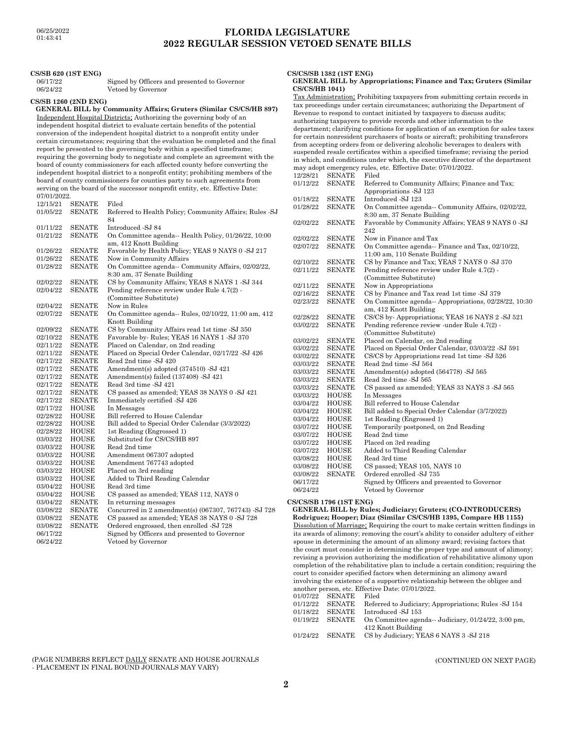**CS/SB 620 (1ST ENG)**<br>06/17/22

# 06/25/2022 **FLORIDA LEGISLATURE 2022 REGULAR SESSION VETOED SENATE BILLS**

| 06/17/22                                                                                                                                                   |                        | Signed by Officers and presented to Governor                                                                                                                 |    |  |
|------------------------------------------------------------------------------------------------------------------------------------------------------------|------------------------|--------------------------------------------------------------------------------------------------------------------------------------------------------------|----|--|
| 06/24/22                                                                                                                                                   |                        | Vetoed by Governor                                                                                                                                           |    |  |
|                                                                                                                                                            | CS/SB 1260 (2ND ENG)   |                                                                                                                                                              |    |  |
|                                                                                                                                                            |                        | GENERAL BILL by Community Affairs; Gruters (Similar CS/CS/HB 897)                                                                                            |    |  |
|                                                                                                                                                            |                        | Independent Hospital Districts: Authorizing the governing body of an                                                                                         |    |  |
|                                                                                                                                                            |                        | independent hospital district to evaluate certain benefits of the potential                                                                                  |    |  |
|                                                                                                                                                            |                        | conversion of the independent hospital district to a nonprofit entity under                                                                                  |    |  |
| certain circumstances; requiring that the evaluation be completed and the final<br>report be presented to the governing body within a specified timeframe; |                        |                                                                                                                                                              |    |  |
|                                                                                                                                                            |                        |                                                                                                                                                              |    |  |
|                                                                                                                                                            |                        | requiring the governing body to negotiate and complete an agreement with the<br>board of county commissioners for each affected county before converting the |    |  |
|                                                                                                                                                            |                        | independent hospital district to a nonprofit entity; prohibiting members of the                                                                              |    |  |
|                                                                                                                                                            |                        | board of county commissioners for counties party to such agreements from                                                                                     |    |  |
|                                                                                                                                                            |                        | serving on the board of the successor nonprofit entity, etc. Effective Date:                                                                                 |    |  |
| 07/01/2022.                                                                                                                                                |                        |                                                                                                                                                              |    |  |
| 12/15/21                                                                                                                                                   | <b>SENATE</b>          | Filed                                                                                                                                                        |    |  |
| 01/05/22                                                                                                                                                   | <b>SENATE</b>          | Referred to Health Policy; Community Affairs; Rules -SJ                                                                                                      |    |  |
|                                                                                                                                                            |                        | 84                                                                                                                                                           |    |  |
| 01/11/22                                                                                                                                                   | <b>SENATE</b>          | Introduced -SJ 84                                                                                                                                            |    |  |
| 01/21/22                                                                                                                                                   | <b>SENATE</b>          | On Committee agenda-- Health Policy, 01/26/22, 10:00                                                                                                         |    |  |
|                                                                                                                                                            |                        | am, 412 Knott Building                                                                                                                                       |    |  |
| 01/26/22                                                                                                                                                   | <b>SENATE</b>          | Favorable by Health Policy; YEAS 9 NAYS 0 -SJ 217                                                                                                            |    |  |
| 01/26/22                                                                                                                                                   | <b>SENATE</b>          | Now in Community Affairs                                                                                                                                     |    |  |
| 01/28/22                                                                                                                                                   | <b>SENATE</b>          | On Committee agenda-- Community Affairs, 02/02/22,                                                                                                           |    |  |
|                                                                                                                                                            |                        | 8:30 am, 37 Senate Building                                                                                                                                  |    |  |
| 02/02/22                                                                                                                                                   | <b>SENATE</b>          | CS by Community Affairs; YEAS 8 NAYS 1 -SJ 344                                                                                                               |    |  |
| 02/04/22                                                                                                                                                   | <b>SENATE</b>          | Pending reference review under Rule 4.7(2) -                                                                                                                 |    |  |
| 02/04/22                                                                                                                                                   | SENATE                 | (Committee Substitute)<br>Now in Rules                                                                                                                       |    |  |
| 02/07/22                                                                                                                                                   | <b>SENATE</b>          | On Committee agenda-- Rules, 02/10/22, 11:00 am, 412                                                                                                         |    |  |
|                                                                                                                                                            |                        | Knott Building                                                                                                                                               |    |  |
| 02/09/22                                                                                                                                                   | <b>SENATE</b>          | CS by Community Affairs read 1st time -SJ 350                                                                                                                |    |  |
| 02/10/22                                                                                                                                                   | <b>SENATE</b>          | Favorable by-Rules; YEAS 16 NAYS 1 - SJ 370                                                                                                                  |    |  |
| 02/11/22                                                                                                                                                   | <b>SENATE</b>          | Placed on Calendar, on 2nd reading                                                                                                                           |    |  |
| 02/11/22                                                                                                                                                   | <b>SENATE</b>          | Placed on Special Order Calendar, 02/17/22 -SJ 426                                                                                                           |    |  |
| 02/17/22                                                                                                                                                   | <b>SENATE</b>          | Read 2nd time -SJ 420                                                                                                                                        |    |  |
| 02/17/22                                                                                                                                                   | <b>SENATE</b>          | Amendment(s) adopted (374510) -SJ 421                                                                                                                        |    |  |
| 02/17/22                                                                                                                                                   | <b>SENATE</b>          | Amendment(s) failed (137408) -SJ 421                                                                                                                         |    |  |
| 02/17/22                                                                                                                                                   | <b>SENATE</b>          | Read 3rd time -SJ 421                                                                                                                                        |    |  |
| 02/17/22                                                                                                                                                   | <b>SENATE</b>          | CS passed as amended; YEAS 38 NAYS 0 -SJ 421                                                                                                                 |    |  |
| 02/17/22<br>02/17/22                                                                                                                                       | <b>SENATE</b><br>HOUSE | Immediately certified -SJ 426<br>In Messages                                                                                                                 |    |  |
| 02/28/22                                                                                                                                                   | HOUSE                  | Bill referred to House Calendar                                                                                                                              |    |  |
| 02/28/22                                                                                                                                                   | HOUSE                  | Bill added to Special Order Calendar (3/3/2022)                                                                                                              |    |  |
| 02/28/22                                                                                                                                                   | HOUSE                  | 1st Reading (Engrossed 1)                                                                                                                                    |    |  |
| 03/03/22                                                                                                                                                   | <b>HOUSE</b>           | Substituted for CS/CS/HB 897                                                                                                                                 |    |  |
| 03/03/22                                                                                                                                                   | <b>HOUSE</b>           | Read 2nd time                                                                                                                                                |    |  |
| 03/03/22                                                                                                                                                   | HOUSE                  | Amendment 067307 adopted                                                                                                                                     |    |  |
| 03/03/22                                                                                                                                                   | <b>HOUSE</b>           | Amendment 767743 adopted                                                                                                                                     |    |  |
| 03/03/22                                                                                                                                                   | HOUSE                  | Placed on 3rd reading                                                                                                                                        |    |  |
| 03/03/22                                                                                                                                                   | <b>HOUSE</b>           | Added to Third Reading Calendar                                                                                                                              |    |  |
| 03/04/22                                                                                                                                                   | HOUSE                  | Read 3rd time                                                                                                                                                |    |  |
| 03/04/22                                                                                                                                                   | HOUSE                  | CS passed as amended; YEAS 112, NAYS 0                                                                                                                       |    |  |
| 03/04/22                                                                                                                                                   | <b>SENATE</b>          | In returning messages                                                                                                                                        | C. |  |
| 03/08/22                                                                                                                                                   | SENATE                 | Concurred in 2 amendment(s) (067307, 767743) -SJ 728                                                                                                         |    |  |
| 03/08/22                                                                                                                                                   | <b>SENATE</b>          | CS passed as amended; YEAS 38 NAYS 0 -SJ 728                                                                                                                 |    |  |
| 03/08/22<br>06/17/22                                                                                                                                       | <b>SENATE</b>          | Ordered engrossed, then enrolled -SJ 728                                                                                                                     |    |  |
| 06/24/22                                                                                                                                                   |                        | Signed by Officers and presented to Governor<br>Vetoed by Governor                                                                                           |    |  |
|                                                                                                                                                            |                        |                                                                                                                                                              |    |  |

### **CS/CS/SB 1382 (1ST ENG)**

#### **GENERAL BILL by Appropriations; Finance and Tax; Gruters (Similar CS/CS/HB 1041)** Tax Administration; Prohibiting taxpayers from submitting certain records in

tax proceedings under certain circumstances; authorizing the Department of Revenue to respond to contact initiated by taxpayers to discuss audits; authorizing taxpayers to provide records and other information to the department; clarifying conditions for application of an exemption for sales taxes for certain nonresident purchasers of boats or aircraft; prohibiting transferors from accepting orders from or delivering alcoholic beverages to dealers with suspended resale certificates within a specified timeframe; revising the period in which, and conditions under which, the executive director of the department may adopt emergency rules, etc. Effective Date: 07/01/2022. 12/28/21 SENATE Filed 01/12/22 SENATE Referred to Community Affairs; Finance and Tax; Appropriations -SJ 123 01/18/22 SENATE Introduced -SJ 123<br>01/28/22 SENATE On Committee ager On Committee agenda-- Community Affairs, 02/02/22, 8:30 am, 37 Senate Building 02/02/22 SENATE Favorable by Community Affairs; YEAS 9 NAYS 0 -SJ 242 02/02/22 SENATE Now in Finance and Tax<br>02/07/22 SENATE On Committee agenda--1 On Committee agenda-- Finance and Tax, 02/10/22, 11:00 am, 110 Senate Building 02/10/22 SENATE CS by Finance and Tax; YEAS 7 NAYS 0 -SJ 370<br>02/11/22 SENATE Pending reference review under Rule 4.7(2) -Pending reference review under Rule 4.7(2) -(Committee Substitute) 02/11/22 SENATE Now in Appropriations<br>02/16/22 SENATE CS by Finance and Tax 02/16/22 SENATE CS by Finance and Tax read 1st time -SJ 379<br>02/23/22 SENATE On Committee agenda-- Appropriations, 02/28 On Committee agenda-- Appropriations, 02/28/22, 10:30 am, 412 Knott Building 02/28/22 SENATE CS/CS by-Appropriations; YEAS 16 NAYS 2 -SJ 521<br>03/02/22 SENATE Pending reference review -under Rule 4.7(2) -Pending reference review -under Rule 4.7(2) -(Committee Substitute) 03/02/22 SENATE Placed on Calendar, on 2nd reading 03/02/22 SENATE Placed on Special Order Calendar, 03/03/22 -SJ 591 03/02/22 SENATE CS/CS by Appropriations read 1st time -SJ 526<br>03/03/22 SENATE Read 2nd time -SJ 564 03/03/22 SENATE Read 2nd time -SJ 564<br>03/03/22 SENATE Amendment(s) adopted 03/03/22 SENATE Amendment(s) adopted (564778) -SJ 565<br>03/03/22 SENATE Read 3rd time -SJ 565 SENATE Read 3rd time -SJ 565  $03/03/22$  SENATE CS passed as amended; YEAS 33 NAYS 3 -SJ 565 03/03/22 HOUSE In Messages 03/03/22 HOUSE In Messages<br>03/04/22 HOUSE Bill referred 03/04/22 HOUSE Bill referred to House Calendar<br>03/04/22 HOUSE Bill added to Special Order Cale 03/04/22 HOUSE Bill added to Special Order Calendar (3/7/2022)<br>03/04/22 HOUSE 1st Reading (Engrossed 1) 1st Reading (Engrossed 1) 03/07/22 HOUSE Temporarily postponed, on 2nd Reading<br>03/07/22 HOUSE Read 2nd time 03/07/22 HOUSE Read 2nd time<br>03/07/22 HOUSE Placed on 3rd r 03/07/22 HOUSE Placed on 3rd reading<br>03/07/22 HOUSE Added to Third Readin 03/07/22 HOUSE Added to Third Reading Calendar<br>03/08/22 HOUSE Read 3rd time 03/08/22 HOUSE Read 3rd time<br>03/08/22 HOUSE CS passed: YE CS passed; YEAS 105, NAYS 10 03/08/22 SENATE Ordered enrolled -SJ 735<br>06/17/22 Signed by Officers and pr Signed by Officers and presented to Governor 06/24/22 Vetoed by Governor

## **CS/CS/SB 1796 (1ST ENG)**

**GENERAL BILL by Rules; Judiciary; Gruters; (CO-INTRODUCERS) Rodriguez; Hooper; Diaz (Similar CS/CS/HB 1395, Compare HB 1155)** Dissolution of Marriage; Requiring the court to make certain written findings in its awards of alimony; removing the court's ability to consider adultery of either spouse in determining the amount of an alimony award; revising factors that the court must consider in determining the proper type and amount of alimony; revising a provision authorizing the modification of rehabilitative alimony upon completion of the rehabilitative plan to include a certain condition; requiring the court to consider specified factors when determining an alimony award involving the existence of a supportive relationship between the obligee and another person, etc. Effective Date: 07/01/2022. 01/07/22 SENATE Filed

| 01/12/22 | <b>SENATE</b> | Referred to Judiciary; Appropriations; Rules -SJ 154 |
|----------|---------------|------------------------------------------------------|
| 01/18/22 | <b>SENATE</b> | Introduced -SJ 153                                   |
| 01/19/22 | <b>SENATE</b> | On Committee agenda-- Judiciary, 01/24/22, 3:00 pm.  |
|          |               | 412 Knott Building                                   |
| 01/24/22 | <b>SENATE</b> | CS by Judiciary; YEAS 6 NAYS 3 -SJ 218               |

(PAGE NUMBERS REFLECT DAILY SENATE AND HOUSE JOURNALS (CONTINUED ON NEXT PAGE) - PLACEMENT IN FINAL BOUND JOURNALS MAY VARY)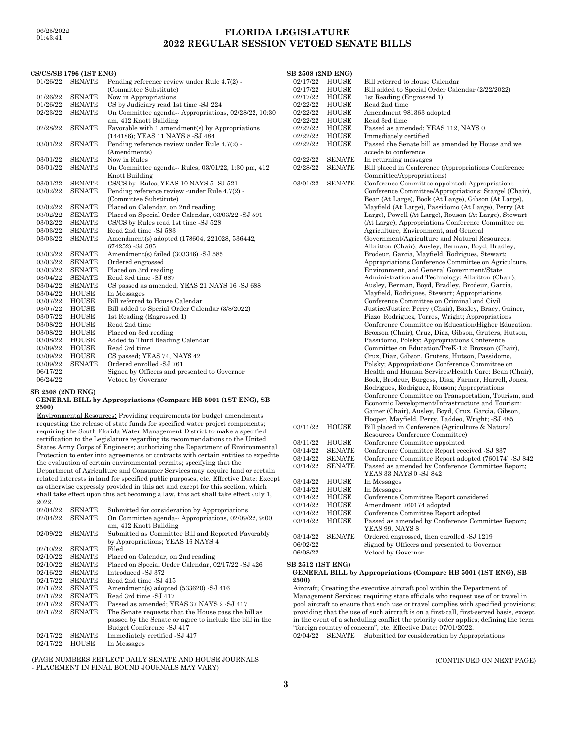# 06/25/2022 **FLORIDA LEGISLATURE 2022 REGULAR SESSION VETOED SENATE BILLS**

|          | CS/CS/SB 1796 (1ST ENG) |                                                                       |
|----------|-------------------------|-----------------------------------------------------------------------|
| 01/26/22 | <b>SENATE</b>           | Pending reference review under Rule 4.7(2) -                          |
|          |                         | (Committee Substitute)                                                |
| 01/26/22 | <b>SENATE</b>           | Now in Appropriations                                                 |
| 01/26/22 | <b>SENATE</b>           | CS by Judiciary read 1st time -SJ 224                                 |
| 02/23/22 | <b>SENATE</b>           | On Committee agenda-- Appropriations, 02/28/22, 10:30                 |
|          |                         | am, 412 Knott Building                                                |
| 02/28/22 | <b>SENATE</b>           | Favorable with 1 amendment(s) by Appropriations                       |
|          |                         | (144186); YEAS 11 NAYS 8 - SJ 484                                     |
| 03/01/22 | <b>SENATE</b>           | Pending reference review under Rule 4.7(2) -                          |
|          |                         | (Amendments)                                                          |
| 03/01/22 | <b>SENATE</b>           | Now in Rules                                                          |
| 03/01/22 | <b>SENATE</b>           | On Committee agenda-- Rules, 03/01/22, 1:30 pm, 412<br>Knott Building |
| 03/01/22 | <b>SENATE</b>           | CS/CS by-Rules; YEAS 10 NAYS 5 -SJ 521                                |
| 03/02/22 | <b>SENATE</b>           | Pending reference review -under Rule 4.7(2) -                         |
|          |                         | (Committee Substitute)                                                |
| 03/02/22 | <b>SENATE</b>           | Placed on Calendar, on 2nd reading                                    |
| 03/02/22 | <b>SENATE</b>           | Placed on Special Order Calendar, 03/03/22 -SJ 591                    |
| 03/02/22 | <b>SENATE</b>           | CS/CS by Rules read 1st time -SJ 528                                  |
| 03/03/22 | <b>SENATE</b>           | Read 2nd time -SJ 583                                                 |
| 03/03/22 | <b>SENATE</b>           | Amendment(s) adopted (178604, 221028, 536442,                         |
|          |                         | 674252) - SJ 585                                                      |
| 03/03/22 | <b>SENATE</b>           | Amendment(s) failed (303346) -SJ 585                                  |
| 03/03/22 | <b>SENATE</b>           | Ordered engrossed                                                     |
| 03/03/22 | <b>SENATE</b>           | Placed on 3rd reading                                                 |
| 03/04/22 | <b>SENATE</b>           | Read 3rd time -SJ 687                                                 |
| 03/04/22 | <b>SENATE</b>           | CS passed as amended; YEAS 21 NAYS 16 -SJ 688                         |
| 03/04/22 | <b>HOUSE</b>            | In Messages                                                           |
| 03/07/22 | <b>HOUSE</b>            | Bill referred to House Calendar                                       |
| 03/07/22 | <b>HOUSE</b>            | Bill added to Special Order Calendar (3/8/2022)                       |
| 03/07/22 | <b>HOUSE</b>            | 1st Reading (Engrossed 1)                                             |
| 03/08/22 | <b>HOUSE</b>            | Read 2nd time                                                         |
| 03/08/22 | <b>HOUSE</b>            | Placed on 3rd reading                                                 |
| 03/08/22 | <b>HOUSE</b>            | Added to Third Reading Calendar                                       |
| 03/09/22 | <b>HOUSE</b>            | Read 3rd time                                                         |
| 03/09/22 | <b>HOUSE</b>            | CS passed; YEAS 74, NAYS 42                                           |
| 03/09/22 | <b>SENATE</b>           | Ordered enrolled -SJ 761                                              |
| 06/17/22 |                         | Signed by Officers and presented to Governor                          |
| 06/24/22 |                         | Vetoed by Governor                                                    |

## **SB 2508 (2ND ENG)**

## **GENERAL BILL by Appropriations (Compare HB 5001 (1ST ENG), SB 2500)**

Environmental Resources; Providing requirements for budget amendments requesting the release of state funds for specified water project components; requiring the South Florida Water Management District to make a specified certification to the Legislature regarding its recommendations to the United States Army Corps of Engineers; authorizing the Department of Environmental Protection to enter into agreements or contracts with certain entities to expedite the evaluation of certain environmental permits; specifying that the Department of Agriculture and Consumer Services may acquire land or certain related interests in land for specified public purposes, etc. Effective Date: Except as otherwise expressly provided in this act and except for this section, which shall take effect upon this act becoming a law, this act shall take effect July 1, 2022.

| 02/04/22 | <b>SENATE</b> | Submitted for consideration by Appropriations            |
|----------|---------------|----------------------------------------------------------|
| 02/04/22 | <b>SENATE</b> | On Committee agenda-- Appropriations, 02/09/22, 9:00     |
|          |               | am. 412 Knott Building                                   |
| 02/09/22 | <b>SENATE</b> | Submitted as Committee Bill and Reported Favorably       |
|          |               | by Appropriations; YEAS 16 NAYS 4                        |
| 02/10/22 | <b>SENATE</b> | Filed                                                    |
| 02/10/22 | <b>SENATE</b> | Placed on Calendar, on 2nd reading                       |
| 02/10/22 | <b>SENATE</b> | Placed on Special Order Calendar, 02/17/22 - SJ 426      |
| 02/16/22 | <b>SENATE</b> | Introduced - SJ 372                                      |
| 02/17/22 | <b>SENATE</b> | Read 2nd time -SJ 415                                    |
| 02/17/22 | <b>SENATE</b> | Amendment(s) adopted (533620) - SJ 416                   |
| 02/17/22 | SENATE        | Read 3rd time -SJ 417                                    |
| 02/17/22 | <b>SENATE</b> | Passed as amended; YEAS 37 NAYS 2 -SJ 417                |
| 02/17/22 | <b>SENATE</b> | The Senate requests that the House pass the bill as      |
|          |               | passed by the Senate or agree to include the bill in the |
|          |               | Budget Conference - SJ 417                               |
| 02/17/22 | <b>SENATE</b> | Immediately certified -SJ 417                            |
| 02/17/22 | <b>HOUSE</b>  | In Messages                                              |
|          |               |                                                          |

(PAGE NUMBERS REFLECT DAILY SENATE AND HOUSE JOURNALS (CONTINUED ON NEXT PAGE) - PLACEMENT IN FINAL BOUND JOURNALS MAY VARY)

| <b>HOUSE</b><br>Bill referred to House Calendar<br>02/17/22<br>HOUSE<br>Bill added to Special Order Calendar (2/22/2022)<br>02/17/22<br><b>HOUSE</b><br>02/17/22<br>1st Reading (Engrossed 1)<br>HOUSE<br>Read 2nd time<br>02/22/22<br>02/22/22<br><b>HOUSE</b><br>Amendment 981363 adopted<br>HOUSE<br>02/22/22<br>Read 3rd time<br>HOUSE<br>Passed as amended; YEAS 112, NAYS 0<br>02/22/22<br><b>HOUSE</b><br>02/22/22<br>Immediately certified<br>02/22/22<br>HOUSE<br>Passed the Senate bill as amended by House and we<br>accede to conference<br><b>SENATE</b><br>02/22/22<br>In returning messages<br><b>SENATE</b><br>Bill placed in Conference (Appropriations Conference<br>02/28/22<br>Committee/Appropriations)<br><b>SENATE</b><br>Conference Committee appointed: Appropriations<br>03/01/22<br>Conference Committee/Appropriations: Stargel (Chair),<br>Bean (At Large), Book (At Large), Gibson (At Large),<br>Mayfield (At Large), Passidomo (At Large), Perry (At<br>Large), Powell (At Large), Rouson (At Large), Stewart<br>(At Large); Appropriations Conference Committee on<br>Agriculture, Environment, and General<br>Government/Agriculture and Natural Resources:<br>Albritton (Chair), Ausley, Berman, Boyd, Bradley,<br>Brodeur, Garcia, Mayfield, Rodrigues, Stewart;<br>Appropriations Conference Committee on Agriculture,<br>Environment, and General Government/State<br>Administration and Technology: Albritton (Chair),<br>Ausley, Berman, Boyd, Bradley, Brodeur, Garcia,<br>Mayfield, Rodrigues, Stewart; Appropriations<br>Conference Committee on Criminal and Civil<br>Justice/Justice: Perry (Chair), Baxley, Bracy, Gainer,<br>Pizzo, Rodriguez, Torres, Wright; Appropriations<br>Conference Committee on Education/Higher Education:<br>Broxson (Chair), Cruz, Diaz, Gibson, Gruters, Hutson,<br>Passidomo, Polsky; Appropriations Conference<br>Committee on Education/PreK-12: Broxson (Chair),<br>Cruz, Diaz, Gibson, Gruters, Hutson, Passidomo,<br>Polsky; Appropriations Conference Committee on<br>Health and Human Services/Health Care: Bean (Chair),<br>Book, Brodeur, Burgess, Diaz, Farmer, Harrell, Jones,<br>Rodrigues, Rodriguez, Rouson; Appropriations<br>Conference Committee on Transportation, Tourism, and<br>Economic Development/Infrastructure and Tourism:<br>Gainer (Chair), Ausley, Boyd, Cruz, Garcia, Gibson,<br>Hooper, Mayfield, Perry, Taddeo, Wright; -SJ 485<br>HOUSE<br>Bill placed in Conference (Agriculture & Natural<br>03/11/22<br>Resources Conference Committee)<br>HOUSE<br>Conference Committee appointed<br>03/11/22<br><b>SENATE</b><br>Conference Committee Report received -SJ 837<br>03/14/22<br>03/14/22<br><b>SENATE</b><br>Conference Committee Report adopted (760174) -SJ 842<br><b>SENATE</b><br>Passed as amended by Conference Committee Report;<br>03/14/22<br>YEAS 33 NAYS 0 -SJ 842<br>HOUSE<br>03/14/22<br>In Messages<br>03/14/22<br>HOUSE<br>In Messages<br>Conference Committee Report considered<br>HOUSE<br>03/14/22<br><b>HOUSE</b><br>Amendment 760174 adopted<br>03/14/22<br>Conference Committee Report adopted<br>03/14/22<br>HOUSE<br>HOUSE<br>Passed as amended by Conference Committee Report;<br>03/14/22<br>YEAS 99, NAYS 8<br><b>SENATE</b><br>Ordered engrossed, then enrolled -SJ 1219<br>03/14/22<br>Signed by Officers and presented to Governor<br>06/02/22<br>Vetoed by Governor<br>06/08/22 | <b>SB 2508 (2ND ENG)</b> |  |
|--------------------------------------------------------------------------------------------------------------------------------------------------------------------------------------------------------------------------------------------------------------------------------------------------------------------------------------------------------------------------------------------------------------------------------------------------------------------------------------------------------------------------------------------------------------------------------------------------------------------------------------------------------------------------------------------------------------------------------------------------------------------------------------------------------------------------------------------------------------------------------------------------------------------------------------------------------------------------------------------------------------------------------------------------------------------------------------------------------------------------------------------------------------------------------------------------------------------------------------------------------------------------------------------------------------------------------------------------------------------------------------------------------------------------------------------------------------------------------------------------------------------------------------------------------------------------------------------------------------------------------------------------------------------------------------------------------------------------------------------------------------------------------------------------------------------------------------------------------------------------------------------------------------------------------------------------------------------------------------------------------------------------------------------------------------------------------------------------------------------------------------------------------------------------------------------------------------------------------------------------------------------------------------------------------------------------------------------------------------------------------------------------------------------------------------------------------------------------------------------------------------------------------------------------------------------------------------------------------------------------------------------------------------------------------------------------------------------------------------------------------------------------------------------------------------------------------------------------------------------------------------------------------------------------------------------------------------------------------------------------------------------------------------------------------------------------------------------------------------------------------------------------------------------------------------------------------------------------------------------------------------------------------------------------------------------------------------------------------------------------------------------------------------------------------|--------------------------|--|
|                                                                                                                                                                                                                                                                                                                                                                                                                                                                                                                                                                                                                                                                                                                                                                                                                                                                                                                                                                                                                                                                                                                                                                                                                                                                                                                                                                                                                                                                                                                                                                                                                                                                                                                                                                                                                                                                                                                                                                                                                                                                                                                                                                                                                                                                                                                                                                                                                                                                                                                                                                                                                                                                                                                                                                                                                                                                                                                                                                                                                                                                                                                                                                                                                                                                                                                                                                                                                                |                          |  |
|                                                                                                                                                                                                                                                                                                                                                                                                                                                                                                                                                                                                                                                                                                                                                                                                                                                                                                                                                                                                                                                                                                                                                                                                                                                                                                                                                                                                                                                                                                                                                                                                                                                                                                                                                                                                                                                                                                                                                                                                                                                                                                                                                                                                                                                                                                                                                                                                                                                                                                                                                                                                                                                                                                                                                                                                                                                                                                                                                                                                                                                                                                                                                                                                                                                                                                                                                                                                                                |                          |  |
|                                                                                                                                                                                                                                                                                                                                                                                                                                                                                                                                                                                                                                                                                                                                                                                                                                                                                                                                                                                                                                                                                                                                                                                                                                                                                                                                                                                                                                                                                                                                                                                                                                                                                                                                                                                                                                                                                                                                                                                                                                                                                                                                                                                                                                                                                                                                                                                                                                                                                                                                                                                                                                                                                                                                                                                                                                                                                                                                                                                                                                                                                                                                                                                                                                                                                                                                                                                                                                |                          |  |
|                                                                                                                                                                                                                                                                                                                                                                                                                                                                                                                                                                                                                                                                                                                                                                                                                                                                                                                                                                                                                                                                                                                                                                                                                                                                                                                                                                                                                                                                                                                                                                                                                                                                                                                                                                                                                                                                                                                                                                                                                                                                                                                                                                                                                                                                                                                                                                                                                                                                                                                                                                                                                                                                                                                                                                                                                                                                                                                                                                                                                                                                                                                                                                                                                                                                                                                                                                                                                                |                          |  |
|                                                                                                                                                                                                                                                                                                                                                                                                                                                                                                                                                                                                                                                                                                                                                                                                                                                                                                                                                                                                                                                                                                                                                                                                                                                                                                                                                                                                                                                                                                                                                                                                                                                                                                                                                                                                                                                                                                                                                                                                                                                                                                                                                                                                                                                                                                                                                                                                                                                                                                                                                                                                                                                                                                                                                                                                                                                                                                                                                                                                                                                                                                                                                                                                                                                                                                                                                                                                                                |                          |  |
|                                                                                                                                                                                                                                                                                                                                                                                                                                                                                                                                                                                                                                                                                                                                                                                                                                                                                                                                                                                                                                                                                                                                                                                                                                                                                                                                                                                                                                                                                                                                                                                                                                                                                                                                                                                                                                                                                                                                                                                                                                                                                                                                                                                                                                                                                                                                                                                                                                                                                                                                                                                                                                                                                                                                                                                                                                                                                                                                                                                                                                                                                                                                                                                                                                                                                                                                                                                                                                |                          |  |
|                                                                                                                                                                                                                                                                                                                                                                                                                                                                                                                                                                                                                                                                                                                                                                                                                                                                                                                                                                                                                                                                                                                                                                                                                                                                                                                                                                                                                                                                                                                                                                                                                                                                                                                                                                                                                                                                                                                                                                                                                                                                                                                                                                                                                                                                                                                                                                                                                                                                                                                                                                                                                                                                                                                                                                                                                                                                                                                                                                                                                                                                                                                                                                                                                                                                                                                                                                                                                                |                          |  |
|                                                                                                                                                                                                                                                                                                                                                                                                                                                                                                                                                                                                                                                                                                                                                                                                                                                                                                                                                                                                                                                                                                                                                                                                                                                                                                                                                                                                                                                                                                                                                                                                                                                                                                                                                                                                                                                                                                                                                                                                                                                                                                                                                                                                                                                                                                                                                                                                                                                                                                                                                                                                                                                                                                                                                                                                                                                                                                                                                                                                                                                                                                                                                                                                                                                                                                                                                                                                                                |                          |  |
|                                                                                                                                                                                                                                                                                                                                                                                                                                                                                                                                                                                                                                                                                                                                                                                                                                                                                                                                                                                                                                                                                                                                                                                                                                                                                                                                                                                                                                                                                                                                                                                                                                                                                                                                                                                                                                                                                                                                                                                                                                                                                                                                                                                                                                                                                                                                                                                                                                                                                                                                                                                                                                                                                                                                                                                                                                                                                                                                                                                                                                                                                                                                                                                                                                                                                                                                                                                                                                |                          |  |
|                                                                                                                                                                                                                                                                                                                                                                                                                                                                                                                                                                                                                                                                                                                                                                                                                                                                                                                                                                                                                                                                                                                                                                                                                                                                                                                                                                                                                                                                                                                                                                                                                                                                                                                                                                                                                                                                                                                                                                                                                                                                                                                                                                                                                                                                                                                                                                                                                                                                                                                                                                                                                                                                                                                                                                                                                                                                                                                                                                                                                                                                                                                                                                                                                                                                                                                                                                                                                                |                          |  |
|                                                                                                                                                                                                                                                                                                                                                                                                                                                                                                                                                                                                                                                                                                                                                                                                                                                                                                                                                                                                                                                                                                                                                                                                                                                                                                                                                                                                                                                                                                                                                                                                                                                                                                                                                                                                                                                                                                                                                                                                                                                                                                                                                                                                                                                                                                                                                                                                                                                                                                                                                                                                                                                                                                                                                                                                                                                                                                                                                                                                                                                                                                                                                                                                                                                                                                                                                                                                                                |                          |  |
|                                                                                                                                                                                                                                                                                                                                                                                                                                                                                                                                                                                                                                                                                                                                                                                                                                                                                                                                                                                                                                                                                                                                                                                                                                                                                                                                                                                                                                                                                                                                                                                                                                                                                                                                                                                                                                                                                                                                                                                                                                                                                                                                                                                                                                                                                                                                                                                                                                                                                                                                                                                                                                                                                                                                                                                                                                                                                                                                                                                                                                                                                                                                                                                                                                                                                                                                                                                                                                |                          |  |
|                                                                                                                                                                                                                                                                                                                                                                                                                                                                                                                                                                                                                                                                                                                                                                                                                                                                                                                                                                                                                                                                                                                                                                                                                                                                                                                                                                                                                                                                                                                                                                                                                                                                                                                                                                                                                                                                                                                                                                                                                                                                                                                                                                                                                                                                                                                                                                                                                                                                                                                                                                                                                                                                                                                                                                                                                                                                                                                                                                                                                                                                                                                                                                                                                                                                                                                                                                                                                                |                          |  |
|                                                                                                                                                                                                                                                                                                                                                                                                                                                                                                                                                                                                                                                                                                                                                                                                                                                                                                                                                                                                                                                                                                                                                                                                                                                                                                                                                                                                                                                                                                                                                                                                                                                                                                                                                                                                                                                                                                                                                                                                                                                                                                                                                                                                                                                                                                                                                                                                                                                                                                                                                                                                                                                                                                                                                                                                                                                                                                                                                                                                                                                                                                                                                                                                                                                                                                                                                                                                                                |                          |  |
|                                                                                                                                                                                                                                                                                                                                                                                                                                                                                                                                                                                                                                                                                                                                                                                                                                                                                                                                                                                                                                                                                                                                                                                                                                                                                                                                                                                                                                                                                                                                                                                                                                                                                                                                                                                                                                                                                                                                                                                                                                                                                                                                                                                                                                                                                                                                                                                                                                                                                                                                                                                                                                                                                                                                                                                                                                                                                                                                                                                                                                                                                                                                                                                                                                                                                                                                                                                                                                |                          |  |
|                                                                                                                                                                                                                                                                                                                                                                                                                                                                                                                                                                                                                                                                                                                                                                                                                                                                                                                                                                                                                                                                                                                                                                                                                                                                                                                                                                                                                                                                                                                                                                                                                                                                                                                                                                                                                                                                                                                                                                                                                                                                                                                                                                                                                                                                                                                                                                                                                                                                                                                                                                                                                                                                                                                                                                                                                                                                                                                                                                                                                                                                                                                                                                                                                                                                                                                                                                                                                                |                          |  |
|                                                                                                                                                                                                                                                                                                                                                                                                                                                                                                                                                                                                                                                                                                                                                                                                                                                                                                                                                                                                                                                                                                                                                                                                                                                                                                                                                                                                                                                                                                                                                                                                                                                                                                                                                                                                                                                                                                                                                                                                                                                                                                                                                                                                                                                                                                                                                                                                                                                                                                                                                                                                                                                                                                                                                                                                                                                                                                                                                                                                                                                                                                                                                                                                                                                                                                                                                                                                                                |                          |  |
|                                                                                                                                                                                                                                                                                                                                                                                                                                                                                                                                                                                                                                                                                                                                                                                                                                                                                                                                                                                                                                                                                                                                                                                                                                                                                                                                                                                                                                                                                                                                                                                                                                                                                                                                                                                                                                                                                                                                                                                                                                                                                                                                                                                                                                                                                                                                                                                                                                                                                                                                                                                                                                                                                                                                                                                                                                                                                                                                                                                                                                                                                                                                                                                                                                                                                                                                                                                                                                |                          |  |
|                                                                                                                                                                                                                                                                                                                                                                                                                                                                                                                                                                                                                                                                                                                                                                                                                                                                                                                                                                                                                                                                                                                                                                                                                                                                                                                                                                                                                                                                                                                                                                                                                                                                                                                                                                                                                                                                                                                                                                                                                                                                                                                                                                                                                                                                                                                                                                                                                                                                                                                                                                                                                                                                                                                                                                                                                                                                                                                                                                                                                                                                                                                                                                                                                                                                                                                                                                                                                                |                          |  |
|                                                                                                                                                                                                                                                                                                                                                                                                                                                                                                                                                                                                                                                                                                                                                                                                                                                                                                                                                                                                                                                                                                                                                                                                                                                                                                                                                                                                                                                                                                                                                                                                                                                                                                                                                                                                                                                                                                                                                                                                                                                                                                                                                                                                                                                                                                                                                                                                                                                                                                                                                                                                                                                                                                                                                                                                                                                                                                                                                                                                                                                                                                                                                                                                                                                                                                                                                                                                                                |                          |  |
|                                                                                                                                                                                                                                                                                                                                                                                                                                                                                                                                                                                                                                                                                                                                                                                                                                                                                                                                                                                                                                                                                                                                                                                                                                                                                                                                                                                                                                                                                                                                                                                                                                                                                                                                                                                                                                                                                                                                                                                                                                                                                                                                                                                                                                                                                                                                                                                                                                                                                                                                                                                                                                                                                                                                                                                                                                                                                                                                                                                                                                                                                                                                                                                                                                                                                                                                                                                                                                |                          |  |
|                                                                                                                                                                                                                                                                                                                                                                                                                                                                                                                                                                                                                                                                                                                                                                                                                                                                                                                                                                                                                                                                                                                                                                                                                                                                                                                                                                                                                                                                                                                                                                                                                                                                                                                                                                                                                                                                                                                                                                                                                                                                                                                                                                                                                                                                                                                                                                                                                                                                                                                                                                                                                                                                                                                                                                                                                                                                                                                                                                                                                                                                                                                                                                                                                                                                                                                                                                                                                                |                          |  |
|                                                                                                                                                                                                                                                                                                                                                                                                                                                                                                                                                                                                                                                                                                                                                                                                                                                                                                                                                                                                                                                                                                                                                                                                                                                                                                                                                                                                                                                                                                                                                                                                                                                                                                                                                                                                                                                                                                                                                                                                                                                                                                                                                                                                                                                                                                                                                                                                                                                                                                                                                                                                                                                                                                                                                                                                                                                                                                                                                                                                                                                                                                                                                                                                                                                                                                                                                                                                                                |                          |  |
|                                                                                                                                                                                                                                                                                                                                                                                                                                                                                                                                                                                                                                                                                                                                                                                                                                                                                                                                                                                                                                                                                                                                                                                                                                                                                                                                                                                                                                                                                                                                                                                                                                                                                                                                                                                                                                                                                                                                                                                                                                                                                                                                                                                                                                                                                                                                                                                                                                                                                                                                                                                                                                                                                                                                                                                                                                                                                                                                                                                                                                                                                                                                                                                                                                                                                                                                                                                                                                |                          |  |
|                                                                                                                                                                                                                                                                                                                                                                                                                                                                                                                                                                                                                                                                                                                                                                                                                                                                                                                                                                                                                                                                                                                                                                                                                                                                                                                                                                                                                                                                                                                                                                                                                                                                                                                                                                                                                                                                                                                                                                                                                                                                                                                                                                                                                                                                                                                                                                                                                                                                                                                                                                                                                                                                                                                                                                                                                                                                                                                                                                                                                                                                                                                                                                                                                                                                                                                                                                                                                                |                          |  |
|                                                                                                                                                                                                                                                                                                                                                                                                                                                                                                                                                                                                                                                                                                                                                                                                                                                                                                                                                                                                                                                                                                                                                                                                                                                                                                                                                                                                                                                                                                                                                                                                                                                                                                                                                                                                                                                                                                                                                                                                                                                                                                                                                                                                                                                                                                                                                                                                                                                                                                                                                                                                                                                                                                                                                                                                                                                                                                                                                                                                                                                                                                                                                                                                                                                                                                                                                                                                                                |                          |  |
|                                                                                                                                                                                                                                                                                                                                                                                                                                                                                                                                                                                                                                                                                                                                                                                                                                                                                                                                                                                                                                                                                                                                                                                                                                                                                                                                                                                                                                                                                                                                                                                                                                                                                                                                                                                                                                                                                                                                                                                                                                                                                                                                                                                                                                                                                                                                                                                                                                                                                                                                                                                                                                                                                                                                                                                                                                                                                                                                                                                                                                                                                                                                                                                                                                                                                                                                                                                                                                |                          |  |
|                                                                                                                                                                                                                                                                                                                                                                                                                                                                                                                                                                                                                                                                                                                                                                                                                                                                                                                                                                                                                                                                                                                                                                                                                                                                                                                                                                                                                                                                                                                                                                                                                                                                                                                                                                                                                                                                                                                                                                                                                                                                                                                                                                                                                                                                                                                                                                                                                                                                                                                                                                                                                                                                                                                                                                                                                                                                                                                                                                                                                                                                                                                                                                                                                                                                                                                                                                                                                                |                          |  |
|                                                                                                                                                                                                                                                                                                                                                                                                                                                                                                                                                                                                                                                                                                                                                                                                                                                                                                                                                                                                                                                                                                                                                                                                                                                                                                                                                                                                                                                                                                                                                                                                                                                                                                                                                                                                                                                                                                                                                                                                                                                                                                                                                                                                                                                                                                                                                                                                                                                                                                                                                                                                                                                                                                                                                                                                                                                                                                                                                                                                                                                                                                                                                                                                                                                                                                                                                                                                                                |                          |  |
|                                                                                                                                                                                                                                                                                                                                                                                                                                                                                                                                                                                                                                                                                                                                                                                                                                                                                                                                                                                                                                                                                                                                                                                                                                                                                                                                                                                                                                                                                                                                                                                                                                                                                                                                                                                                                                                                                                                                                                                                                                                                                                                                                                                                                                                                                                                                                                                                                                                                                                                                                                                                                                                                                                                                                                                                                                                                                                                                                                                                                                                                                                                                                                                                                                                                                                                                                                                                                                |                          |  |
|                                                                                                                                                                                                                                                                                                                                                                                                                                                                                                                                                                                                                                                                                                                                                                                                                                                                                                                                                                                                                                                                                                                                                                                                                                                                                                                                                                                                                                                                                                                                                                                                                                                                                                                                                                                                                                                                                                                                                                                                                                                                                                                                                                                                                                                                                                                                                                                                                                                                                                                                                                                                                                                                                                                                                                                                                                                                                                                                                                                                                                                                                                                                                                                                                                                                                                                                                                                                                                |                          |  |
|                                                                                                                                                                                                                                                                                                                                                                                                                                                                                                                                                                                                                                                                                                                                                                                                                                                                                                                                                                                                                                                                                                                                                                                                                                                                                                                                                                                                                                                                                                                                                                                                                                                                                                                                                                                                                                                                                                                                                                                                                                                                                                                                                                                                                                                                                                                                                                                                                                                                                                                                                                                                                                                                                                                                                                                                                                                                                                                                                                                                                                                                                                                                                                                                                                                                                                                                                                                                                                |                          |  |
|                                                                                                                                                                                                                                                                                                                                                                                                                                                                                                                                                                                                                                                                                                                                                                                                                                                                                                                                                                                                                                                                                                                                                                                                                                                                                                                                                                                                                                                                                                                                                                                                                                                                                                                                                                                                                                                                                                                                                                                                                                                                                                                                                                                                                                                                                                                                                                                                                                                                                                                                                                                                                                                                                                                                                                                                                                                                                                                                                                                                                                                                                                                                                                                                                                                                                                                                                                                                                                |                          |  |
|                                                                                                                                                                                                                                                                                                                                                                                                                                                                                                                                                                                                                                                                                                                                                                                                                                                                                                                                                                                                                                                                                                                                                                                                                                                                                                                                                                                                                                                                                                                                                                                                                                                                                                                                                                                                                                                                                                                                                                                                                                                                                                                                                                                                                                                                                                                                                                                                                                                                                                                                                                                                                                                                                                                                                                                                                                                                                                                                                                                                                                                                                                                                                                                                                                                                                                                                                                                                                                |                          |  |
|                                                                                                                                                                                                                                                                                                                                                                                                                                                                                                                                                                                                                                                                                                                                                                                                                                                                                                                                                                                                                                                                                                                                                                                                                                                                                                                                                                                                                                                                                                                                                                                                                                                                                                                                                                                                                                                                                                                                                                                                                                                                                                                                                                                                                                                                                                                                                                                                                                                                                                                                                                                                                                                                                                                                                                                                                                                                                                                                                                                                                                                                                                                                                                                                                                                                                                                                                                                                                                |                          |  |
|                                                                                                                                                                                                                                                                                                                                                                                                                                                                                                                                                                                                                                                                                                                                                                                                                                                                                                                                                                                                                                                                                                                                                                                                                                                                                                                                                                                                                                                                                                                                                                                                                                                                                                                                                                                                                                                                                                                                                                                                                                                                                                                                                                                                                                                                                                                                                                                                                                                                                                                                                                                                                                                                                                                                                                                                                                                                                                                                                                                                                                                                                                                                                                                                                                                                                                                                                                                                                                |                          |  |
|                                                                                                                                                                                                                                                                                                                                                                                                                                                                                                                                                                                                                                                                                                                                                                                                                                                                                                                                                                                                                                                                                                                                                                                                                                                                                                                                                                                                                                                                                                                                                                                                                                                                                                                                                                                                                                                                                                                                                                                                                                                                                                                                                                                                                                                                                                                                                                                                                                                                                                                                                                                                                                                                                                                                                                                                                                                                                                                                                                                                                                                                                                                                                                                                                                                                                                                                                                                                                                |                          |  |
|                                                                                                                                                                                                                                                                                                                                                                                                                                                                                                                                                                                                                                                                                                                                                                                                                                                                                                                                                                                                                                                                                                                                                                                                                                                                                                                                                                                                                                                                                                                                                                                                                                                                                                                                                                                                                                                                                                                                                                                                                                                                                                                                                                                                                                                                                                                                                                                                                                                                                                                                                                                                                                                                                                                                                                                                                                                                                                                                                                                                                                                                                                                                                                                                                                                                                                                                                                                                                                |                          |  |
|                                                                                                                                                                                                                                                                                                                                                                                                                                                                                                                                                                                                                                                                                                                                                                                                                                                                                                                                                                                                                                                                                                                                                                                                                                                                                                                                                                                                                                                                                                                                                                                                                                                                                                                                                                                                                                                                                                                                                                                                                                                                                                                                                                                                                                                                                                                                                                                                                                                                                                                                                                                                                                                                                                                                                                                                                                                                                                                                                                                                                                                                                                                                                                                                                                                                                                                                                                                                                                |                          |  |
|                                                                                                                                                                                                                                                                                                                                                                                                                                                                                                                                                                                                                                                                                                                                                                                                                                                                                                                                                                                                                                                                                                                                                                                                                                                                                                                                                                                                                                                                                                                                                                                                                                                                                                                                                                                                                                                                                                                                                                                                                                                                                                                                                                                                                                                                                                                                                                                                                                                                                                                                                                                                                                                                                                                                                                                                                                                                                                                                                                                                                                                                                                                                                                                                                                                                                                                                                                                                                                |                          |  |
|                                                                                                                                                                                                                                                                                                                                                                                                                                                                                                                                                                                                                                                                                                                                                                                                                                                                                                                                                                                                                                                                                                                                                                                                                                                                                                                                                                                                                                                                                                                                                                                                                                                                                                                                                                                                                                                                                                                                                                                                                                                                                                                                                                                                                                                                                                                                                                                                                                                                                                                                                                                                                                                                                                                                                                                                                                                                                                                                                                                                                                                                                                                                                                                                                                                                                                                                                                                                                                |                          |  |
|                                                                                                                                                                                                                                                                                                                                                                                                                                                                                                                                                                                                                                                                                                                                                                                                                                                                                                                                                                                                                                                                                                                                                                                                                                                                                                                                                                                                                                                                                                                                                                                                                                                                                                                                                                                                                                                                                                                                                                                                                                                                                                                                                                                                                                                                                                                                                                                                                                                                                                                                                                                                                                                                                                                                                                                                                                                                                                                                                                                                                                                                                                                                                                                                                                                                                                                                                                                                                                |                          |  |
|                                                                                                                                                                                                                                                                                                                                                                                                                                                                                                                                                                                                                                                                                                                                                                                                                                                                                                                                                                                                                                                                                                                                                                                                                                                                                                                                                                                                                                                                                                                                                                                                                                                                                                                                                                                                                                                                                                                                                                                                                                                                                                                                                                                                                                                                                                                                                                                                                                                                                                                                                                                                                                                                                                                                                                                                                                                                                                                                                                                                                                                                                                                                                                                                                                                                                                                                                                                                                                |                          |  |
|                                                                                                                                                                                                                                                                                                                                                                                                                                                                                                                                                                                                                                                                                                                                                                                                                                                                                                                                                                                                                                                                                                                                                                                                                                                                                                                                                                                                                                                                                                                                                                                                                                                                                                                                                                                                                                                                                                                                                                                                                                                                                                                                                                                                                                                                                                                                                                                                                                                                                                                                                                                                                                                                                                                                                                                                                                                                                                                                                                                                                                                                                                                                                                                                                                                                                                                                                                                                                                |                          |  |
|                                                                                                                                                                                                                                                                                                                                                                                                                                                                                                                                                                                                                                                                                                                                                                                                                                                                                                                                                                                                                                                                                                                                                                                                                                                                                                                                                                                                                                                                                                                                                                                                                                                                                                                                                                                                                                                                                                                                                                                                                                                                                                                                                                                                                                                                                                                                                                                                                                                                                                                                                                                                                                                                                                                                                                                                                                                                                                                                                                                                                                                                                                                                                                                                                                                                                                                                                                                                                                |                          |  |
|                                                                                                                                                                                                                                                                                                                                                                                                                                                                                                                                                                                                                                                                                                                                                                                                                                                                                                                                                                                                                                                                                                                                                                                                                                                                                                                                                                                                                                                                                                                                                                                                                                                                                                                                                                                                                                                                                                                                                                                                                                                                                                                                                                                                                                                                                                                                                                                                                                                                                                                                                                                                                                                                                                                                                                                                                                                                                                                                                                                                                                                                                                                                                                                                                                                                                                                                                                                                                                |                          |  |
|                                                                                                                                                                                                                                                                                                                                                                                                                                                                                                                                                                                                                                                                                                                                                                                                                                                                                                                                                                                                                                                                                                                                                                                                                                                                                                                                                                                                                                                                                                                                                                                                                                                                                                                                                                                                                                                                                                                                                                                                                                                                                                                                                                                                                                                                                                                                                                                                                                                                                                                                                                                                                                                                                                                                                                                                                                                                                                                                                                                                                                                                                                                                                                                                                                                                                                                                                                                                                                |                          |  |
|                                                                                                                                                                                                                                                                                                                                                                                                                                                                                                                                                                                                                                                                                                                                                                                                                                                                                                                                                                                                                                                                                                                                                                                                                                                                                                                                                                                                                                                                                                                                                                                                                                                                                                                                                                                                                                                                                                                                                                                                                                                                                                                                                                                                                                                                                                                                                                                                                                                                                                                                                                                                                                                                                                                                                                                                                                                                                                                                                                                                                                                                                                                                                                                                                                                                                                                                                                                                                                |                          |  |
|                                                                                                                                                                                                                                                                                                                                                                                                                                                                                                                                                                                                                                                                                                                                                                                                                                                                                                                                                                                                                                                                                                                                                                                                                                                                                                                                                                                                                                                                                                                                                                                                                                                                                                                                                                                                                                                                                                                                                                                                                                                                                                                                                                                                                                                                                                                                                                                                                                                                                                                                                                                                                                                                                                                                                                                                                                                                                                                                                                                                                                                                                                                                                                                                                                                                                                                                                                                                                                |                          |  |
|                                                                                                                                                                                                                                                                                                                                                                                                                                                                                                                                                                                                                                                                                                                                                                                                                                                                                                                                                                                                                                                                                                                                                                                                                                                                                                                                                                                                                                                                                                                                                                                                                                                                                                                                                                                                                                                                                                                                                                                                                                                                                                                                                                                                                                                                                                                                                                                                                                                                                                                                                                                                                                                                                                                                                                                                                                                                                                                                                                                                                                                                                                                                                                                                                                                                                                                                                                                                                                |                          |  |
|                                                                                                                                                                                                                                                                                                                                                                                                                                                                                                                                                                                                                                                                                                                                                                                                                                                                                                                                                                                                                                                                                                                                                                                                                                                                                                                                                                                                                                                                                                                                                                                                                                                                                                                                                                                                                                                                                                                                                                                                                                                                                                                                                                                                                                                                                                                                                                                                                                                                                                                                                                                                                                                                                                                                                                                                                                                                                                                                                                                                                                                                                                                                                                                                                                                                                                                                                                                                                                |                          |  |
|                                                                                                                                                                                                                                                                                                                                                                                                                                                                                                                                                                                                                                                                                                                                                                                                                                                                                                                                                                                                                                                                                                                                                                                                                                                                                                                                                                                                                                                                                                                                                                                                                                                                                                                                                                                                                                                                                                                                                                                                                                                                                                                                                                                                                                                                                                                                                                                                                                                                                                                                                                                                                                                                                                                                                                                                                                                                                                                                                                                                                                                                                                                                                                                                                                                                                                                                                                                                                                |                          |  |
|                                                                                                                                                                                                                                                                                                                                                                                                                                                                                                                                                                                                                                                                                                                                                                                                                                                                                                                                                                                                                                                                                                                                                                                                                                                                                                                                                                                                                                                                                                                                                                                                                                                                                                                                                                                                                                                                                                                                                                                                                                                                                                                                                                                                                                                                                                                                                                                                                                                                                                                                                                                                                                                                                                                                                                                                                                                                                                                                                                                                                                                                                                                                                                                                                                                                                                                                                                                                                                |                          |  |
|                                                                                                                                                                                                                                                                                                                                                                                                                                                                                                                                                                                                                                                                                                                                                                                                                                                                                                                                                                                                                                                                                                                                                                                                                                                                                                                                                                                                                                                                                                                                                                                                                                                                                                                                                                                                                                                                                                                                                                                                                                                                                                                                                                                                                                                                                                                                                                                                                                                                                                                                                                                                                                                                                                                                                                                                                                                                                                                                                                                                                                                                                                                                                                                                                                                                                                                                                                                                                                |                          |  |
|                                                                                                                                                                                                                                                                                                                                                                                                                                                                                                                                                                                                                                                                                                                                                                                                                                                                                                                                                                                                                                                                                                                                                                                                                                                                                                                                                                                                                                                                                                                                                                                                                                                                                                                                                                                                                                                                                                                                                                                                                                                                                                                                                                                                                                                                                                                                                                                                                                                                                                                                                                                                                                                                                                                                                                                                                                                                                                                                                                                                                                                                                                                                                                                                                                                                                                                                                                                                                                |                          |  |
|                                                                                                                                                                                                                                                                                                                                                                                                                                                                                                                                                                                                                                                                                                                                                                                                                                                                                                                                                                                                                                                                                                                                                                                                                                                                                                                                                                                                                                                                                                                                                                                                                                                                                                                                                                                                                                                                                                                                                                                                                                                                                                                                                                                                                                                                                                                                                                                                                                                                                                                                                                                                                                                                                                                                                                                                                                                                                                                                                                                                                                                                                                                                                                                                                                                                                                                                                                                                                                |                          |  |
|                                                                                                                                                                                                                                                                                                                                                                                                                                                                                                                                                                                                                                                                                                                                                                                                                                                                                                                                                                                                                                                                                                                                                                                                                                                                                                                                                                                                                                                                                                                                                                                                                                                                                                                                                                                                                                                                                                                                                                                                                                                                                                                                                                                                                                                                                                                                                                                                                                                                                                                                                                                                                                                                                                                                                                                                                                                                                                                                                                                                                                                                                                                                                                                                                                                                                                                                                                                                                                |                          |  |
|                                                                                                                                                                                                                                                                                                                                                                                                                                                                                                                                                                                                                                                                                                                                                                                                                                                                                                                                                                                                                                                                                                                                                                                                                                                                                                                                                                                                                                                                                                                                                                                                                                                                                                                                                                                                                                                                                                                                                                                                                                                                                                                                                                                                                                                                                                                                                                                                                                                                                                                                                                                                                                                                                                                                                                                                                                                                                                                                                                                                                                                                                                                                                                                                                                                                                                                                                                                                                                |                          |  |
|                                                                                                                                                                                                                                                                                                                                                                                                                                                                                                                                                                                                                                                                                                                                                                                                                                                                                                                                                                                                                                                                                                                                                                                                                                                                                                                                                                                                                                                                                                                                                                                                                                                                                                                                                                                                                                                                                                                                                                                                                                                                                                                                                                                                                                                                                                                                                                                                                                                                                                                                                                                                                                                                                                                                                                                                                                                                                                                                                                                                                                                                                                                                                                                                                                                                                                                                                                                                                                |                          |  |

### **SB 2512 (1ST ENG)**

#### **GENERAL BILL by Appropriations (Compare HB 5001 (1ST ENG), SB 2500)**

Aircraft; Creating the executive aircraft pool within the Department of Management Services; requiring state officials who request use of or travel in pool aircraft to ensure that such use or travel complies with specified provisions; providing that the use of such aircraft is on a first-call, first-served basis, except in the event of a scheduling conflict the priority order applies; defining the term "foreign country of concern", etc. Effective Date: 07/01/2022.

02/04/22 SENATE Submitted for consideration by Appropriations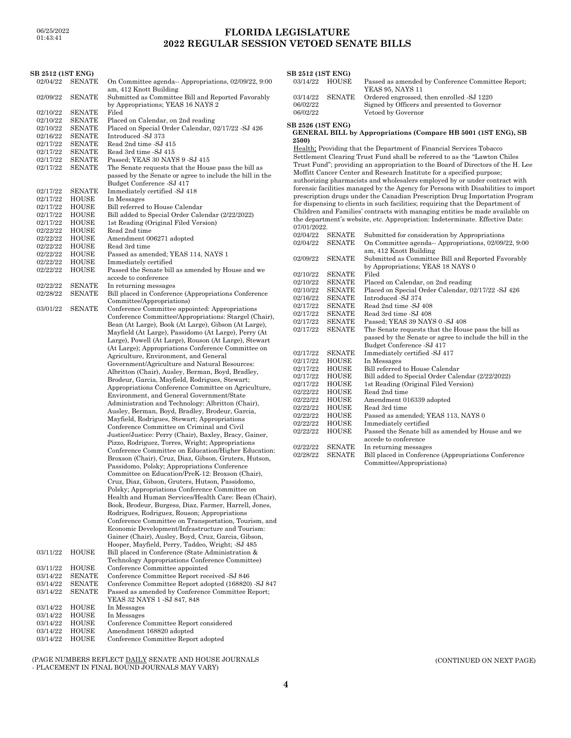**SB 2512 (1ST ENG)**

# 06/25/2022 **FLORIDA LEGISLATURE 2022 REGULAR SESSION VETOED SENATE BILLS**

| 02/04/22             | <b>SENATE</b>         | On Committee agenda - Appropriations, 02/09/22, 9:00<br>am, 412 Knott Building                           |
|----------------------|-----------------------|----------------------------------------------------------------------------------------------------------|
| 02/09/22             | SENATE                | Submitted as Committee Bill and Reported Favorably<br>by Appropriations; YEAS 16 NAYS 2                  |
| 02/10/22             | SENATE                | Filed                                                                                                    |
| 02/10/22             | SENATE                | Placed on Calendar, on 2nd reading                                                                       |
| 02/10/22             | SENATE                | Placed on Special Order Calendar, 02/17/22 -SJ 426                                                       |
| 02/16/22             | SENATE                | Introduced -SJ 373                                                                                       |
| 02/17/22             | SENATE                | Read 2nd time -SJ 415                                                                                    |
| 02/17/22             | SENATE                | Read 3rd time -SJ 415                                                                                    |
| 02/17/22             | SENATE                | Passed; YEAS 30 NAYS 9 -SJ 415                                                                           |
| 02/17/22             | SENATE                | The Senate requests that the House pass the bill as                                                      |
|                      |                       | passed by the Senate or agree to include the bill in the<br>Budget Conference - SJ 417                   |
| 02/17/22             | <b>SENATE</b>         | Immediately certified -SJ 418                                                                            |
| 02/17/22             | HOUSE                 | In Messages                                                                                              |
| 02/17/22             | HOUSE                 | Bill referred to House Calendar                                                                          |
| 02/17/22             | <b>HOUSE</b>          | Bill added to Special Order Calendar (2/22/2022)                                                         |
| 02/17/22             | <b>HOUSE</b>          | 1st Reading (Original Filed Version)                                                                     |
| 02/22/22             | <b>HOUSE</b>          | Read 2nd time                                                                                            |
| 02/22/22             | <b>HOUSE</b>          | Amendment 006271 adopted                                                                                 |
| 02/22/22             | HOUSE                 | Read 3rd time                                                                                            |
| 02/22/22             | <b>HOUSE</b>          | Passed as amended; YEAS 114, NAYS 1                                                                      |
| 02/22/22             | <b>HOUSE</b>          | Immediately certified                                                                                    |
| 02/22/22             | <b>HOUSE</b>          | Passed the Senate bill as amended by House and we                                                        |
|                      |                       | accede to conference                                                                                     |
| 02/22/22             | SENATE                | In returning messages                                                                                    |
| 02/28/22             | <b>SENATE</b>         | Bill placed in Conference (Appropriations Conference)                                                    |
|                      |                       | Committee/Appropriations)                                                                                |
| 03/01/22             | <b>SENATE</b>         | Conference Committee appointed: Appropriations                                                           |
|                      |                       | Conference Committee/Appropriations: Stargel (Chair),                                                    |
|                      |                       | Bean (At Large), Book (At Large), Gibson (At Large),                                                     |
|                      |                       | Mayfield (At Large), Passidomo (At Large), Perry (At                                                     |
|                      |                       | Large), Powell (At Large), Rouson (At Large), Stewart                                                    |
|                      |                       | (At Large); Appropriations Conference Committee on                                                       |
|                      |                       | Agriculture, Environment, and General                                                                    |
|                      |                       | Government/Agriculture and Natural Resources:                                                            |
|                      |                       | Albritton (Chair), Ausley, Berman, Boyd, Bradley,                                                        |
|                      |                       | Brodeur, Garcia, Mayfield, Rodrigues, Stewart;<br>Appropriations Conference Committee on Agriculture,    |
|                      |                       | Environment, and General Government/State                                                                |
|                      |                       | Administration and Technology: Albritton (Chair),                                                        |
|                      |                       | Ausley, Berman, Boyd, Bradley, Brodeur, Garcia,                                                          |
|                      |                       | Mayfield, Rodrigues, Stewart; Appropriations                                                             |
|                      |                       |                                                                                                          |
|                      |                       |                                                                                                          |
|                      |                       | Conference Committee on Criminal and Civil                                                               |
|                      |                       | Justice/Justice: Perry (Chair), Baxley, Bracy, Gainer,                                                   |
|                      |                       | Pizzo, Rodriguez, Torres, Wright; Appropriations                                                         |
|                      |                       | Conference Committee on Education/Higher Education:                                                      |
|                      |                       | Broxson (Chair), Cruz, Diaz, Gibson, Gruters, Hutson,                                                    |
|                      |                       | Passidomo, Polsky; Appropriations Conference                                                             |
|                      |                       | Committee on Education/PreK-12: Broxson (Chair),                                                         |
|                      |                       | Cruz, Diaz, Gibson, Gruters, Hutson, Passidomo,                                                          |
|                      |                       | Polsky; Appropriations Conference Committee on                                                           |
|                      |                       | Health and Human Services/Health Care: Bean (Chair),                                                     |
|                      |                       | Book, Brodeur, Burgess, Diaz, Farmer, Harrell, Jones,                                                    |
|                      |                       | Rodrigues, Rodriguez, Rouson; Appropriations                                                             |
|                      |                       | Conference Committee on Transportation, Tourism, and<br>Economic Development/Infrastructure and Tourism: |
|                      |                       |                                                                                                          |
|                      |                       | Gainer (Chair), Ausley, Boyd, Cruz, Garcia, Gibson,                                                      |
| 03/11/22             | <b>HOUSE</b>          | Hooper, Mayfield, Perry, Taddeo, Wright; -SJ 485<br>Bill placed in Conference (State Administration &    |
|                      |                       | Technology Appropriations Conference Committee)                                                          |
| 03/11/22             | HOUSE                 | Conference Committee appointed                                                                           |
| 03/14/22             | <b>SENATE</b>         | Conference Committee Report received -SJ 846                                                             |
| 03/14/22             | <b>SENATE</b>         | Conference Committee Report adopted (168820) -SJ 847                                                     |
| 03/14/22             | SENATE                | Passed as amended by Conference Committee Report;                                                        |
|                      |                       | YEAS 32 NAYS 1 -SJ 847, 848                                                                              |
| 03/14/22             | HOUSE                 | In Messages                                                                                              |
| 03/14/22             | HOUSE                 | In Messages                                                                                              |
| 03/14/22             | <b>HOUSE</b>          | Conference Committee Report considered                                                                   |
| 03/14/22<br>03/14/22 | <b>HOUSE</b><br>HOUSE | Amendment 168820 adopted<br>Conference Committee Report adopted                                          |

(PAGE NUMBERS REFLECT DAILY SENATE AND HOUSE JOURNALS (CONTINUED ON NEXT PAGE) - PLACEMENT IN FINAL BOUND JOURNALS MAY VARY)

| SB 2512 (1ST ENG) |        |                                                   |
|-------------------|--------|---------------------------------------------------|
| 03/14/22 HOUSE    |        | Passed as amended by Conference Committee Report; |
|                   |        | YEAS 95. NAYS 11                                  |
| 03/14/22          | SENATE | Ordered engrossed, then enrolled -SJ 1220         |
| 06/02/22          |        | Signed by Officers and presented to Governor      |
| 06/02/22          |        | Vetoed by Governor                                |
|                   |        |                                                   |

**SB 2526 (1ST ENG)**

#### **GENERAL BILL by Appropriations (Compare HB 5001 (1ST ENG), SB 2500)**

Health; Providing that the Department of Financial Services Tobacco Settlement Clearing Trust Fund shall be referred to as the "Lawton Chiles Trust Fund"; providing an appropriation to the Board of Directors of the H. Lee Moffitt Cancer Center and Research Institute for a specified purpose; authorizing pharmacists and wholesalers employed by or under contract with forensic facilities managed by the Agency for Persons with Disabilities to import prescription drugs under the Canadian Prescription Drug Importation Program for dispensing to clients in such facilities; requiring that the Department of Children and Families' contracts with managing entities be made available on the department's website, etc. Appropriation: Indeterminate. Effective Date: 07/01/2022. 02/04/22 SENATE Submitted for consideration by Appropriations 02/04/22 SENATE On Committee agenda-- Appropriations, 02/09/22, 9:00 am, 412 Knott Building 02/09/22 SENATE Submitted as Committee Bill and Reported Favorably by Appropriations; YEAS 18 NAYS 0 02/10/22 SENATE Filed 02/10/22 SENATE Placed on Calendar, on 2nd reading<br>02/10/22 SENATE Placed on Special Order Calendar, 0 02/10/22 SENATE Placed on Special Order Calendar, 02/17/22 -SJ 426 02/16/22 SENATE Introduced -SJ 374 02/16/22 SENATE Introduced -SJ 374<br>02/17/22 SENATE Read 2nd time -SJ 4 Read 2nd time -SJ 408 02/17/22 SENATE Read 3rd time -SJ 408<br>02/17/22 SENATE Passed: YEAS 39 NAY 02/17/22 SENATE Passed; YEAS 39 NAYS 0 -SJ 408<br>02/17/22 SENATE The Senate requests that the Hous The Senate requests that the House pass the bill as passed by the Senate or agree to include the bill in the Budget Conference -SJ 417 02/17/22 SENATE Immediately certified -SJ 417<br>02/17/22 HOUSE In Messages 02/17/22 HOUSE In Messages<br>02/17/22 HOUSE Bill referred HOUSE Bill referred to House Calendar<br>HOUSE Bill added to Special Order Cale 02/17/22 HOUSE Bill added to Special Order Calendar (2/22/2022)<br>02/17/22 HOUSE 1st Reading (Original Filed Version) HOUSE 1st Reading (Original Filed Version)<br>HOUSE Read 2nd time 02/22/22 HOUSE Read 2nd time 02/22/22 HOUSE Amendment 016339 adopted 02/22/22 HOUSE Read 3rd time<br>02/22/22 HOUSE Passed as ame 02/22/22 HOUSE Passed as amended; YEAS 113, NAYS 0<br>02/22/22 HOUSE Immediately certified HOUSE Immediately certified<br>HOUSE Passed the Senate bill 02/22/22 HOUSE Passed the Senate bill as amended by House and we accede to conference 02/22/22 SENATE In returning messages<br>02/28/22 SENATE Bill placed in Conferer Bill placed in Conference (Appropriations Conference Committee/Appropriations)